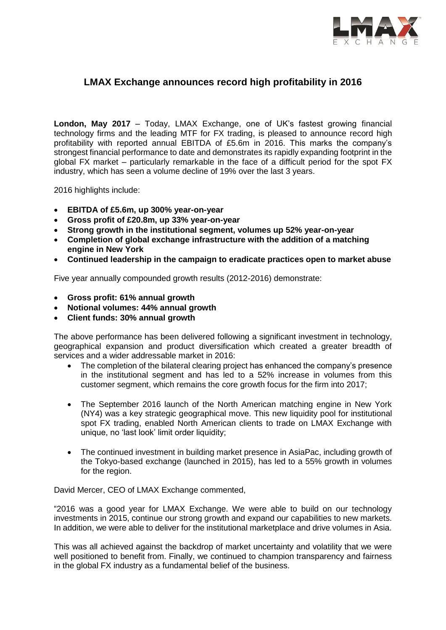

## **LMAX Exchange announces record high profitability in 2016**

**London, May 2017** – Today, LMAX Exchange, one of UK's fastest growing financial technology firms and the leading MTF for FX trading, is pleased to announce record high profitability with reported annual EBITDA of £5.6m in 2016. This marks the company's strongest financial performance to date and demonstrates its rapidly expanding footprint in the global FX market – particularly remarkable in the face of a difficult period for the spot FX industry, which has seen a volume decline of 19% over the last 3 years.

2016 highlights include:

- **EBITDA of £5.6m, up 300% year-on-year**
- **Gross profit of £20.8m, up 33% year-on-year**
- **Strong growth in the institutional segment, volumes up 52% year-on-year**
- **Completion of global exchange infrastructure with the addition of a matching engine in New York**
- **Continued leadership in the campaign to eradicate practices open to market abuse**

Five year annually compounded growth results (2012-2016) demonstrate:

- **Gross profit: 61% annual growth**
- **Notional volumes: 44% annual growth**
- **Client funds: 30% annual growth**

The above performance has been delivered following a significant investment in technology, geographical expansion and product diversification which created a greater breadth of services and a wider addressable market in 2016:

- The completion of the bilateral clearing project has enhanced the company's presence in the institutional segment and has led to a 52% increase in volumes from this customer segment, which remains the core growth focus for the firm into 2017;
- The September 2016 launch of the North American matching engine in New York (NY4) was a key strategic geographical move. This new liquidity pool for institutional spot FX trading, enabled North American clients to trade on LMAX Exchange with unique, no 'last look' limit order liquidity;
- The continued investment in building market presence in AsiaPac, including growth of the Tokyo-based exchange (launched in 2015), has led to a 55% growth in volumes for the region.

David Mercer, CEO of LMAX Exchange commented,

"2016 was a good year for LMAX Exchange. We were able to build on our technology investments in 2015, continue our strong growth and expand our capabilities to new markets. In addition, we were able to deliver for the institutional marketplace and drive volumes in Asia.

This was all achieved against the backdrop of market uncertainty and volatility that we were well positioned to benefit from. Finally, we continued to champion transparency and fairness in the global FX industry as a fundamental belief of the business.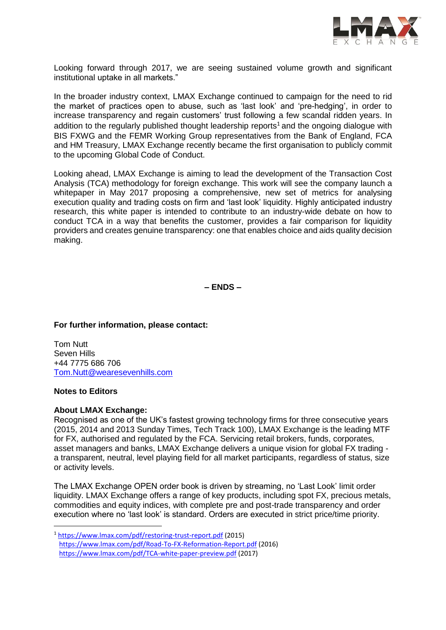

Looking forward through 2017, we are seeing sustained volume growth and significant institutional uptake in all markets."

In the broader industry context, LMAX Exchange continued to campaign for the need to rid the market of practices open to abuse, such as 'last look' and 'pre-hedging', in order to increase transparency and regain customers' trust following a few scandal ridden years. In addition to the regularly published thought leadership reports<sup>1</sup> and the ongoing dialogue with BIS FXWG and the FEMR Working Group representatives from the Bank of England, FCA and HM Treasury, LMAX Exchange recently became the first organisation to publicly commit to the upcoming Global Code of Conduct.

Looking ahead, LMAX Exchange is aiming to lead the development of the Transaction Cost Analysis (TCA) methodology for foreign exchange. This work will see the company launch a whitepaper in May 2017 proposing a comprehensive, new set of metrics for analysing execution quality and trading costs on firm and 'last look' liquidity. Highly anticipated industry research, this white paper is intended to contribute to an industry-wide debate on how to conduct TCA in a way that benefits the customer, provides a fair comparison for liquidity providers and creates genuine transparency: one that enables choice and aids quality decision making.

**– ENDS –**

**For further information, please contact:** 

Tom Nutt Seven Hills +44 7775 686 706 [Tom.Nutt@wearesevenhills.com](mailto:Tom.Nutt@wearesevenhills.com)

## **Notes to Editors**

-

## **About LMAX Exchange:**

Recognised as one of the UK's fastest growing technology firms for three consecutive years (2015, 2014 and 2013 Sunday Times, Tech Track 100), LMAX Exchange is the leading MTF for FX, authorised and regulated by the FCA. Servicing retail brokers, funds, corporates, asset managers and banks, LMAX Exchange delivers a unique vision for global FX trading a transparent, neutral, level playing field for all market participants, regardless of status, size or activity levels.

The LMAX Exchange OPEN order book is driven by streaming, no 'Last Look' limit order liquidity. LMAX Exchange offers a range of key products, including spot FX, precious metals, commodities and equity indices, with complete pre and post-trade transparency and order execution where no 'last look' is standard. Orders are executed in strict price/time priority.

<sup>1</sup> <https://www.lmax.com/pdf/restoring-trust-report.pdf> (2015) <https://www.lmax.com/pdf/Road-To-FX-Reformation-Report.pdf> (2016) <https://www.lmax.com/pdf/TCA-white-paper-preview.pdf> (2017)